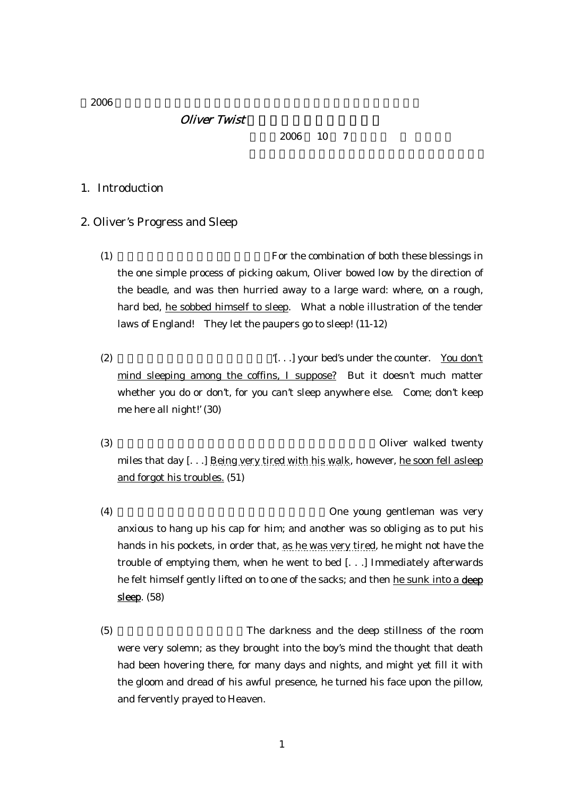$2006$ 

## **Oliver Twist**

2006 10 7

## 1. Introduction

### 2. Oliver's Progress and Sleep

 $(1)$  For the combination of both these blessings in the one simple process of picking oakum, Oliver bowed low by the direction of the beadle, and was then hurried away to a large ward: where, on a rough, hard bed, he sobbed himself to sleep. What a noble illustration of the tender laws of England! They let the paupers go to sleep! (11-12)

(2)  $[...]$  your bed's under the counter. You don't mind sleeping among the coffins, I suppose? But it doesn't much matter whether you do or don't, for you can't sleep anywhere else. Come; don't keep me here all night!' (30)

(3) (サワベリー氏の家を飛び出て、ロンドンへ向かう途上)Oliver walked twenty miles that day [. . .] Being very tired with his walk, however, he soon fell asleep and forgot his troubles. (51)

(4) Cone young gentleman was very anxious to hang up his cap for him; and another was so obliging as to put his hands in his pockets, in order that, as he was very tired, he might not have the trouble of emptying them, when he went to bed [. . .] Immediately afterwards he felt himself gently lifted on to one of the sacks; and then he sunk into a deep sleep. (58)

(5) The darkness and the deep stillness of the room were very solemn; as they brought into the boy's mind the thought that death had been hovering there, for many days and nights, and might yet fill it with the gloom and dread of his awful presence, he turned his face upon the pillow, and fervently prayed to Heaven.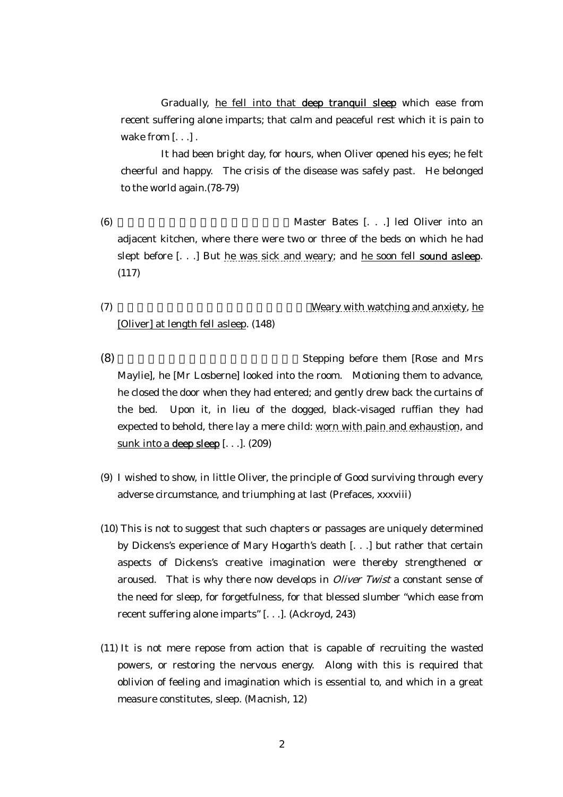Gradually, he fell into that deep tranquil sleep which ease from recent suffering alone imparts; that calm and peaceful rest which it is pain to wake from [...].

It had been bright day, for hours, when Oliver opened his eyes; he felt cheerful and happy. The crisis of the disease was safely past. He belonged to the world again.(78-79)

(6) Master Bates [. . .] led Oliver into an adjacent kitchen, where there were two or three of the beds on which he had slept before [...] But he was sick and weary; and he soon fell **sound asleep**. (117)

# [Oliver] at length fell asleep. (148)

 $(7)$  (2) Weary with watching and anxiety, he

- (8) Stepping before them [Rose and Mrs] Maylie], he [Mr Losberne] looked into the room. Motioning them to advance, he closed the door when they had entered; and gently drew back the curtains of the bed. Upon it, in lieu of the dogged, black-visaged ruffian they had expected to behold, there lay a mere child: worn with pain and exhaustion, and sunk into a deep sleep  $\left[ \ldots \right]$ . (209)
- (9) I wished to show, in little Oliver, the principle of Good surviving through every adverse circumstance, and triumphing at last (Prefaces, xxxviii)
- (10) This is not to suggest that such chapters or passages are uniquely determined by Dickens's experience of Mary Hogarth's death [. . .] but rather that certain aspects of Dickens's creative imagination were thereby strengthened or aroused. That is why there now develops in *Oliver Twist* a constant sense of the need for sleep, for forgetfulness, for that blessed slumber "which ease from recent suffering alone imparts" [. . .]. (Ackroyd, 243)
- (11) It is not mere repose from action that is capable of recruiting the wasted powers, or restoring the nervous energy. Along with this is required that oblivion of feeling and imagination which is essential to, and which in a great measure constitutes, sleep. (Macnish, 12)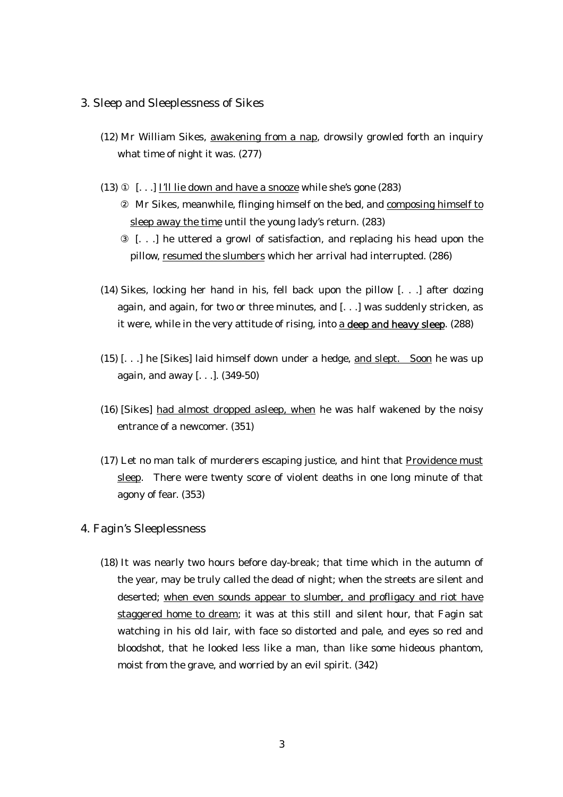### 3. Sleep and Sleeplessness of Sikes

- (12) Mr William Sikes, awakening from a nap, drowsily growled forth an inquiry what time of night it was. (277)
- (13) [. . .] I'll lie down and have a snooze while she's gone (283) Mr Sikes, meanwhile, flinging himself on the bed, and composing himself to sleep away the time until the young lady's return. (283) [. . .] he uttered a growl of satisfaction, and replacing his head upon the pillow, resumed the slumbers which her arrival had interrupted. (286)
- (14) Sikes, locking her hand in his, fell back upon the pillow [. . .] after dozing again, and again, for two or three minutes, and [. . .] was suddenly stricken, as it were, while in the very attitude of rising, into a deep and heavy sleep. (288)
- (15) [. . .] he [Sikes] laid himself down under a hedge, and slept. Soon he was up again, and away [. . .]. (349-50)
- (16) [Sikes] had almost dropped asleep, when he was half wakened by the noisy entrance of a newcomer. (351)
- (17) Let no man talk of murderers escaping justice, and hint that Providence must sleep. There were twenty score of violent deaths in one long minute of that agony of fear. (353)

## 4. Fagin's Sleeplessness

(18) It was nearly two hours before day-break; that time which in the autumn of the year, may be truly called the dead of night; when the streets are silent and deserted; when even sounds appear to slumber, and profligacy and riot have staggered home to dream; it was at this still and silent hour, that Fagin sat watching in his old lair, with face so distorted and pale, and eyes so red and bloodshot, that he looked less like a man, than like some hideous phantom, moist from the grave, and worried by an evil spirit. (342)